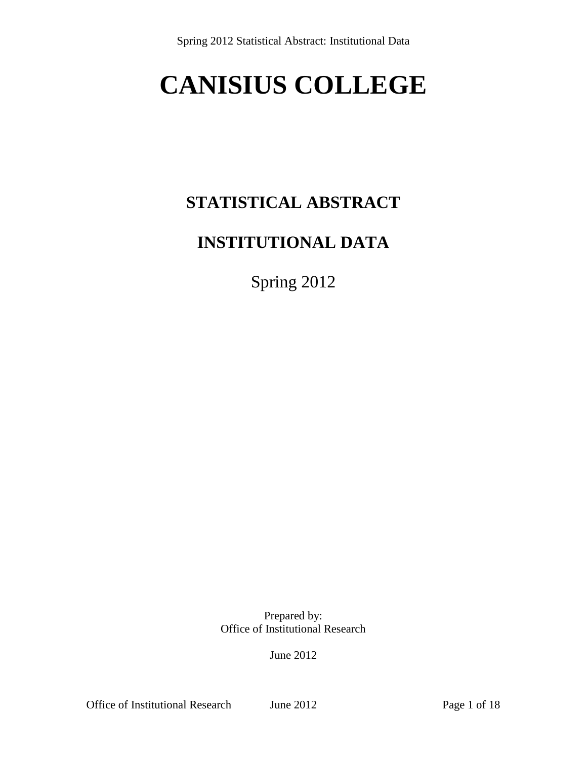# **CANISIUS COLLEGE**

# **STATISTICAL ABSTRACT**

### **INSTITUTIONAL DATA**

Spring 2012

Prepared by: Office of Institutional Research

June 2012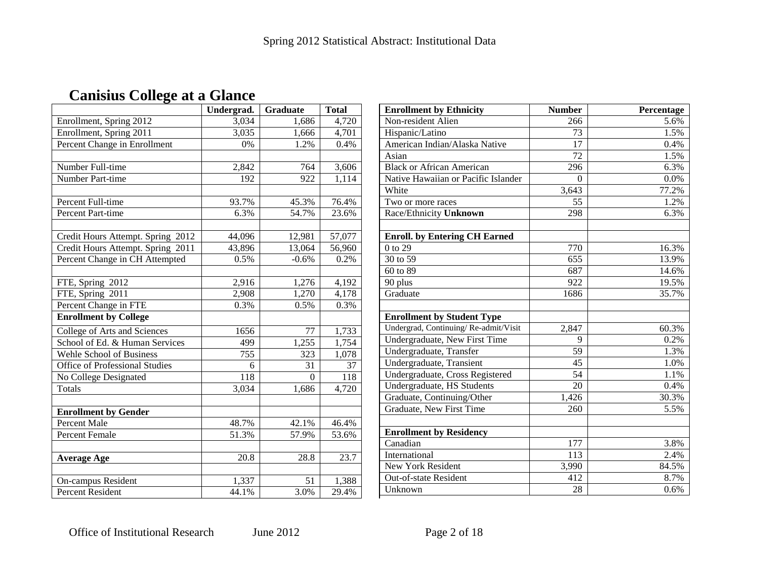|                                       | Undergrad. | <b>Graduate</b> | <b>Total</b> |
|---------------------------------------|------------|-----------------|--------------|
| Enrollment, Spring 2012               | 3,034      | 1,686           | 4,720        |
| Enrollment, Spring 2011               | 3,035      | 1,666           | 4,701        |
| Percent Change in Enrollment          | 0%         | 1.2%            | 0.4%         |
|                                       |            |                 |              |
| Number Full-time                      | 2,842      | 764             | 3,606        |
| Number Part-time                      | 192        | 922             | 1,114        |
|                                       |            |                 |              |
| Percent Full-time                     | 93.7%      | 45.3%           | 76.4%        |
| <b>Percent Part-time</b>              | 6.3%       | 54.7%           | 23.6%        |
|                                       |            |                 |              |
| Credit Hours Attempt. Spring 2012     | 44,096     | 12,981          | 57,077       |
| Credit Hours Attempt. Spring 2011     | 43,896     | 13,064          | 56,960       |
| Percent Change in CH Attempted        | 0.5%       | $-0.6%$         | 0.2%         |
|                                       |            |                 |              |
| FTE, Spring 2012                      | 2,916      | 1,276           | 4,192        |
| FTE, Spring 2011                      | 2,908      | 1,270           | 4,178        |
| Percent Change in FTE                 | 0.3%       | 0.5%            | 0.3%         |
| <b>Enrollment by College</b>          |            |                 |              |
| College of Arts and Sciences          | 1656       | 77              | 1,733        |
| School of Ed. & Human Services        | 499        | 1,255           | 1,754        |
| Wehle School of Business              | 755        | 323             | 1,078        |
| <b>Office of Professional Studies</b> | 6          | 31              | 37           |
| No College Designated                 | 118        | $\Omega$        | 118          |
| Totals                                | 3,034      | 1,686           | 4,720        |
|                                       |            |                 |              |
| <b>Enrollment by Gender</b>           |            |                 |              |
| <b>Percent Male</b>                   | 48.7%      | 42.1%           | 46.4%        |
| Percent Female                        | 51.3%      | 57.9%           | 53.6%        |
|                                       |            |                 |              |
| <b>Average Age</b>                    | 20.8       | 28.8            | 23.7         |
|                                       |            |                 |              |
| On-campus Resident                    | 1,337      | 51              | 1,388        |
| <b>Percent Resident</b>               | 44.1%      | 3.0%            | 29.4%        |

| <b>Enrollment by Ethnicity</b>       | <b>Number</b>   | Percentage |
|--------------------------------------|-----------------|------------|
| Non-resident Alien                   | 266             | 5.6%       |
| Hispanic/Latino                      | 73              | 1.5%       |
| American Indian/Alaska Native        | $\overline{17}$ | 0.4%       |
| Asian                                | 72              | 1.5%       |
| <b>Black or African American</b>     | 296             | 6.3%       |
| Native Hawaiian or Pacific Islander  | $\theta$        | 0.0%       |
| White                                | 3,643           | 77.2%      |
| Two or more races                    | 55              | 1.2%       |
| Race/Ethnicity Unknown               | 298             | 6.3%       |
|                                      |                 |            |
| <b>Enroll.</b> by Entering CH Earned |                 |            |
| 0 to 29                              | 770             | 16.3%      |
| 30 to 59                             | 655             | 13.9%      |
| 60 to 89                             | 687             | 14.6%      |
| 90 plus                              | 922             | 19.5%      |
| Graduate                             | 1686            | 35.7%      |
|                                      |                 |            |
| <b>Enrollment by Student Type</b>    |                 |            |
| Undergrad, Continuing/Re-admit/Visit | 2,847           | 60.3%      |
| Undergraduate, New First Time        | 9               | 0.2%       |
| Undergraduate, Transfer              | 59              | 1.3%       |
| Undergraduate, Transient             | 45              | 1.0%       |
| Undergraduate, Cross Registered      | 54              | 1.1%       |
| Undergraduate, HS Students           | 20              | 0.4%       |
| Graduate, Continuing/Other           | 1,426           | 30.3%      |
| Graduate, New First Time             | 260             | 5.5%       |
|                                      |                 |            |
| <b>Enrollment by Residency</b>       |                 |            |
| Canadian                             | 177             | 3.8%       |
| International                        | 113             | 2.4%       |
| <b>New York Resident</b>             | 3,990           | 84.5%      |
| Out-of-state Resident                | 412             | 8.7%       |
| Unknown                              | 28              | 0.6%       |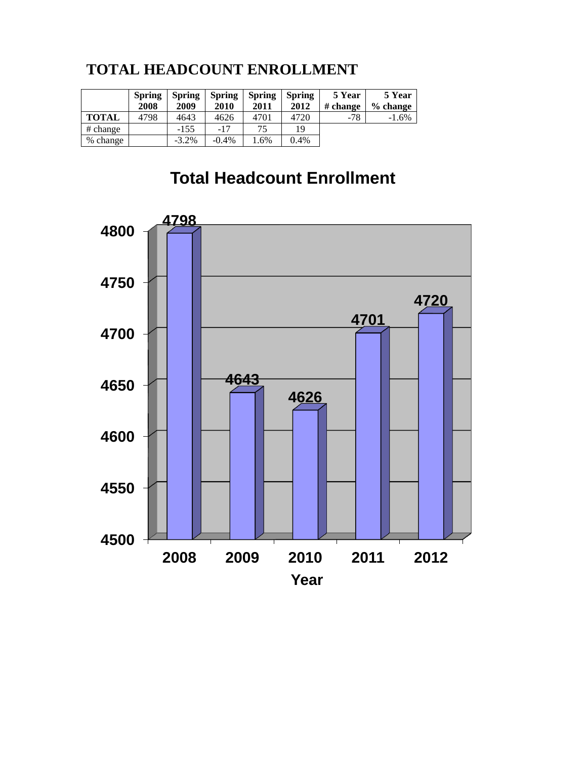### **TOTAL HEADCOUNT ENROLLMENT**

|              | <b>Spring</b><br>2008 | <b>Spring</b><br>2009 | <b>Spring</b><br>2010 | <b>Spring</b><br>2011 | <b>Spring</b><br>2012 | 5 Year<br># change | 5 Year<br>$\%$ change |
|--------------|-----------------------|-----------------------|-----------------------|-----------------------|-----------------------|--------------------|-----------------------|
| <b>TOTAL</b> | 4798                  | 4643                  | 4626                  | 4701                  | 4720                  | $-78$              | $-1.6%$               |
| # change     |                       | $-155$                | $-17$                 | 75                    | 19                    |                    |                       |
| % change     |                       | $-3.2\%$              | $-0.4\%$              | .6%                   | 0.4%                  |                    |                       |

# **Total Headcount Enrollment**

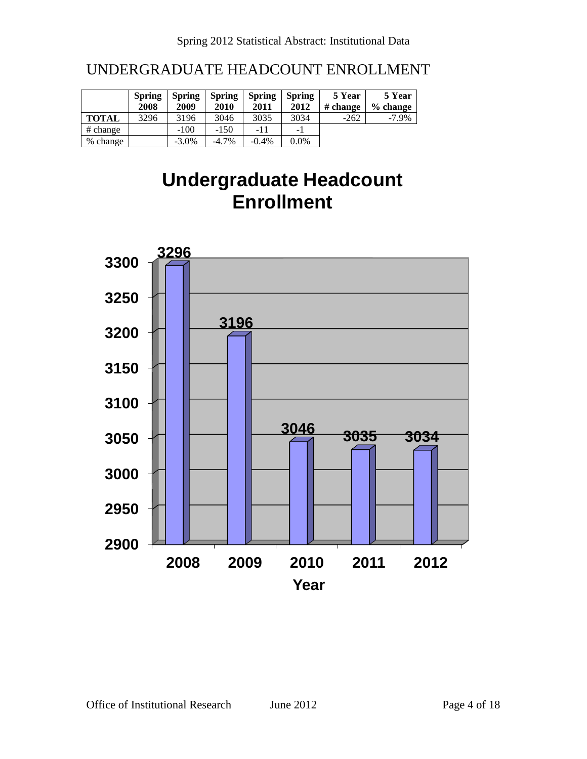### UNDERGRADUATE HEADCOUNT ENROLLMENT

|              | <b>Spring</b><br>2008 | <b>Spring</b><br>2009 | <b>Spring</b><br>2010 | <b>Spring</b><br>2011 | <b>Spring</b><br>2012 | 5 Year<br># change | 5 Year<br>$%$ change |
|--------------|-----------------------|-----------------------|-----------------------|-----------------------|-----------------------|--------------------|----------------------|
| <b>TOTAL</b> | 3296                  | 3196                  | 3046                  | 3035                  | 3034                  | $-262$             | $-7.9\%$             |
| # change     |                       | $-100$                | $-150$                | $-11$                 | - 1                   |                    |                      |
| % change     |                       | $-3.0\%$              | $-4.7\%$              | $-0.4%$               | $0.0\%$               |                    |                      |

# **Undergraduate Headcount Enrollment**

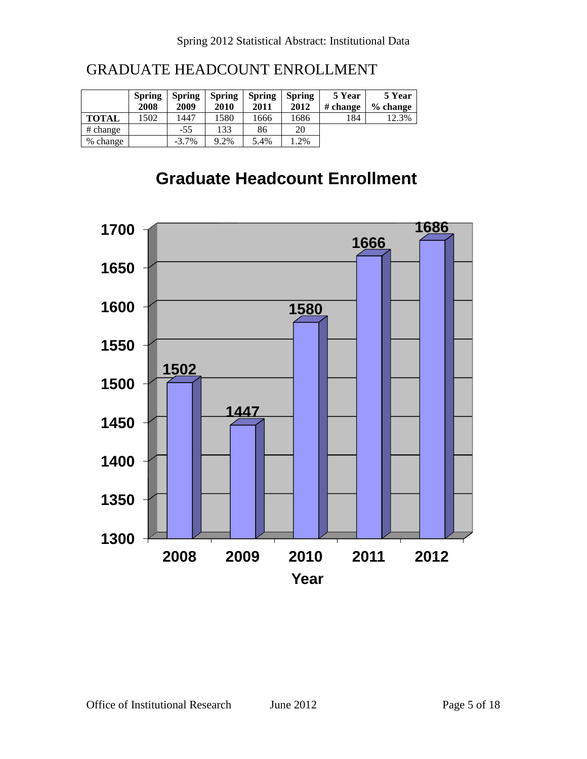### GRADUATE HEADCOUNT ENROLLMENT

|              | <b>Spring</b><br>2008 | <b>Spring</b><br>2009 | <b>Spring</b><br>2010 | <b>Spring</b><br>2011 | <b>Spring</b><br>2012 | 5 Year<br># change | 5 Year<br>% change |
|--------------|-----------------------|-----------------------|-----------------------|-----------------------|-----------------------|--------------------|--------------------|
| <b>TOTAL</b> | 1502                  | 1447                  | 1580                  | 1666                  | 1686                  | 184                | 12.3%              |
| # change     |                       | $-55$                 | 133                   | 86                    | 20                    |                    |                    |
| % change     |                       | $-3.7\%$              | 9.2%                  | 5.4%                  | 1.2%                  |                    |                    |

### **Graduate Headcount Enrollment**

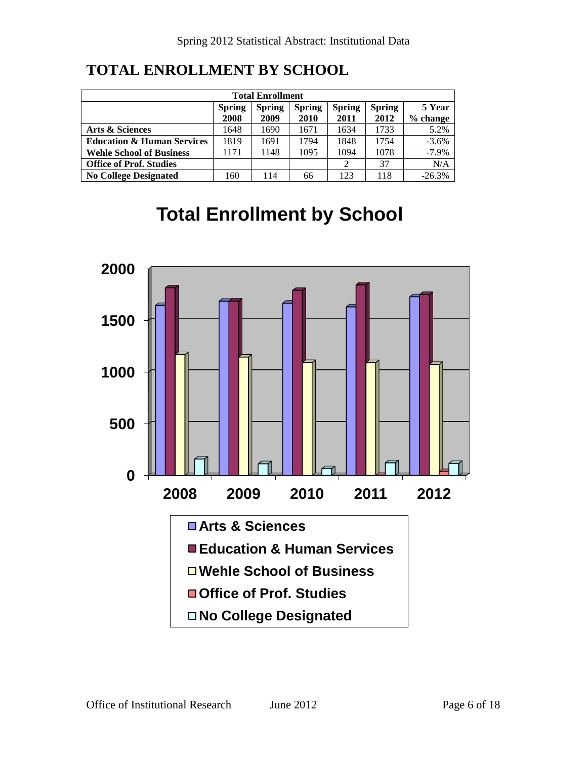| <b>Total Enrollment</b>                                                                                                                           |      |      |      |      |      |          |  |  |  |  |
|---------------------------------------------------------------------------------------------------------------------------------------------------|------|------|------|------|------|----------|--|--|--|--|
| 5 Year<br><b>Spring</b><br><b>Spring</b><br><b>Spring</b><br><b>Spring</b><br><b>Spring</b><br>2012<br>2008<br>2009<br>2010<br>2011<br>$%$ change |      |      |      |      |      |          |  |  |  |  |
| Arts & Sciences                                                                                                                                   | 1648 | 1690 | 1671 | 1634 | 1733 | 5.2%     |  |  |  |  |
| <b>Education &amp; Human Services</b>                                                                                                             | 1819 | 1691 | 1794 | 1848 | 1754 | $-3.6%$  |  |  |  |  |
| <b>Wehle School of Business</b>                                                                                                                   | 1171 | 1148 | 1095 | 1094 | 1078 | $-7.9\%$ |  |  |  |  |
| <b>Office of Prof. Studies</b>                                                                                                                    |      |      |      | 2    | 37   | N/A      |  |  |  |  |
| <b>No College Designated</b>                                                                                                                      | 160  | 114  | 66   | 123  | 118  | $-26.3%$ |  |  |  |  |

### **TOTAL ENROLLMENT BY SCHOOL**

# **Total Enrollment by School**

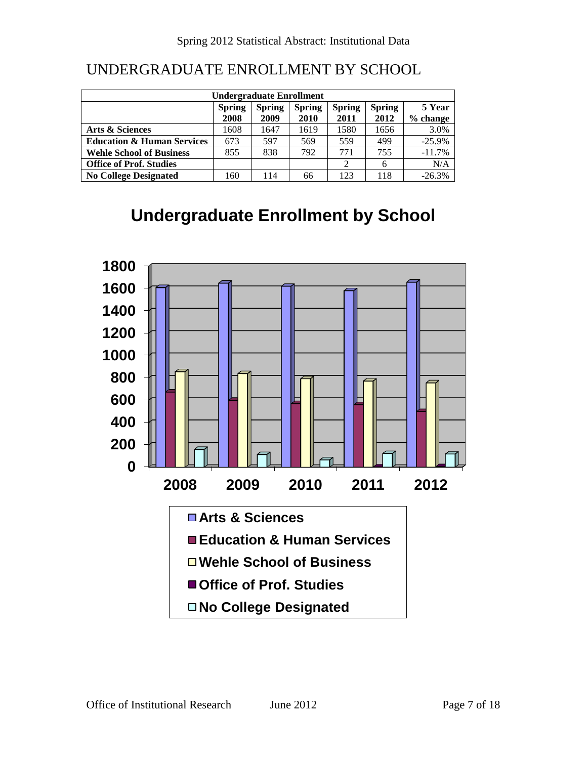### UNDERGRADUATE ENROLLMENT BY SCHOOL

| <b>Undergraduate Enrollment</b>       |               |               |               |               |               |          |  |  |  |  |
|---------------------------------------|---------------|---------------|---------------|---------------|---------------|----------|--|--|--|--|
|                                       | <b>Spring</b> | <b>Spring</b> | <b>Spring</b> | <b>Spring</b> | <b>Spring</b> | 5 Year   |  |  |  |  |
|                                       | 2008          | 2009          | 2010          | 2011          | 2012          | % change |  |  |  |  |
| Arts & Sciences                       | 1608          | 1647          | 1619          | 1580          | 1656          | 3.0%     |  |  |  |  |
| <b>Education &amp; Human Services</b> | 673           | 597           | 569           | 559           | 499           | $-25.9%$ |  |  |  |  |
| <b>Wehle School of Business</b>       | 855           | 838           | 792           | 771           | 755           | $-11.7%$ |  |  |  |  |
| <b>Office of Prof. Studies</b>        |               |               |               | 2             | 6             | N/A      |  |  |  |  |
| <b>No College Designated</b>          | 160           | 114           | 66            | 123           | 118           | $-26.3%$ |  |  |  |  |

### **Undergraduate Enrollment by School**

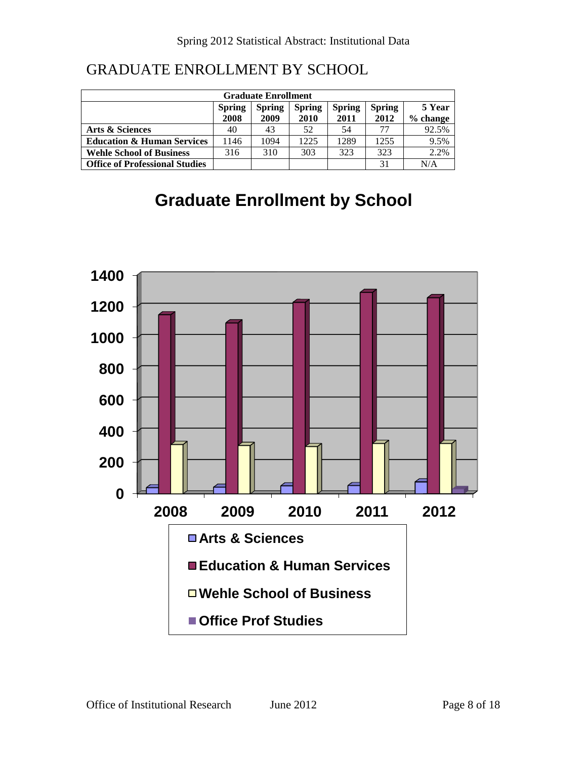| <b>Graduate Enrollment</b>            |               |               |               |               |               |          |  |  |  |  |
|---------------------------------------|---------------|---------------|---------------|---------------|---------------|----------|--|--|--|--|
|                                       | <b>Spring</b> | <b>Spring</b> | <b>Spring</b> | <b>Spring</b> | <b>Spring</b> | 5 Year   |  |  |  |  |
|                                       | 2008          | 2009          | 2010          | 2011          | 2012          | % change |  |  |  |  |
| Arts & Sciences                       | 40            | 43            | 52            | 54            | 77            | 92.5%    |  |  |  |  |
| <b>Education &amp; Human Services</b> | 1146          | 1094          | 1225          | 1289          | 1255          | 9.5%     |  |  |  |  |
| <b>Wehle School of Business</b>       | 316           | 310           | 303           | 323           | 323           | 2.2%     |  |  |  |  |
| <b>Office of Professional Studies</b> |               |               |               |               | 31            | N/A      |  |  |  |  |

## **Graduate Enrollment by School**

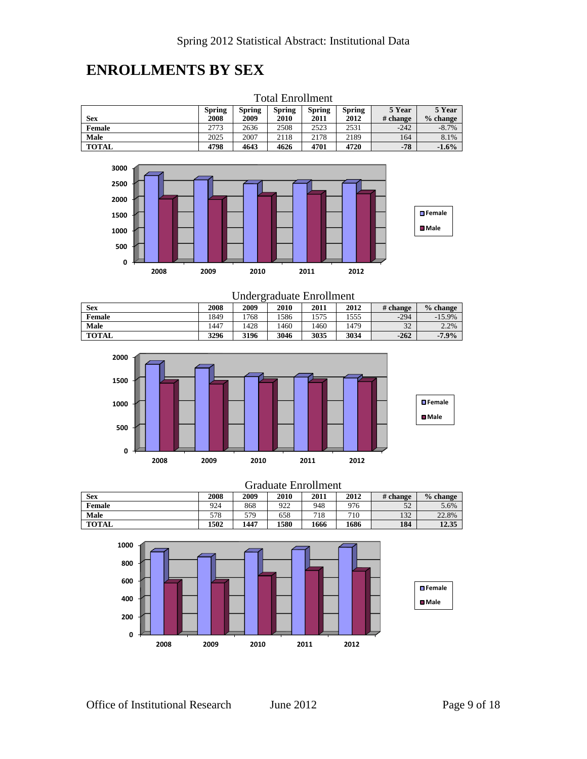### **ENROLLMENTS BY SEX**

|               | Fotal Enrollment |        |               |               |        |          |            |  |  |
|---------------|------------------|--------|---------------|---------------|--------|----------|------------|--|--|
|               | <b>Spring</b>    | Spring | <b>Spring</b> | <b>Spring</b> | Spring | 5 Year   | 5 Year     |  |  |
| <b>Sex</b>    | 2008             | 2009   | 2010          | 2011          | 2012   | # change | $%$ change |  |  |
| <b>Female</b> | 2773             | 2636   | 2508          | 2523          | 2531   | $-242$   | $-8.7%$    |  |  |
| Male          | 2025             | 2007   | 2118          | 2178          | 2189   | 164      | 8.1%       |  |  |
| <b>TOTAL</b>  | 4798             | 4643   | 4626          | 4701          | 4720   | $-78$    | $-1.6%$    |  |  |





#### Undergraduate Enrollment<br>| 2009 | 2010 | 2011 | 2012 **Sex 2008 2009 2010 2011 2012 # change % change Female** 1849 1768 1586 1575 1555 -294 -15.9% **Male** 1447 | 1428 | 1460 | 1460 | 1479 | 32 | 2.2% **TOTAL 3296 3196 3046 3035 3034 -262 -7.9%**



#### Graduate Enrollment

| <b>Sex</b>    | 2008 | 2009 | 2010 | 2011 | 2012 | # change | $%$ change |
|---------------|------|------|------|------|------|----------|------------|
| <b>Female</b> | 924  | 868  | 922  | 948  | 976  | 52       | 5.6%       |
| <b>Male</b>   | 578  | 579  | 658  | 718  | 710  | 132      | 22.8%      |
| <b>TOTAL</b>  | 1502 | 1447 | 1580 | 1666 | 1686 | 184      | 12.35      |

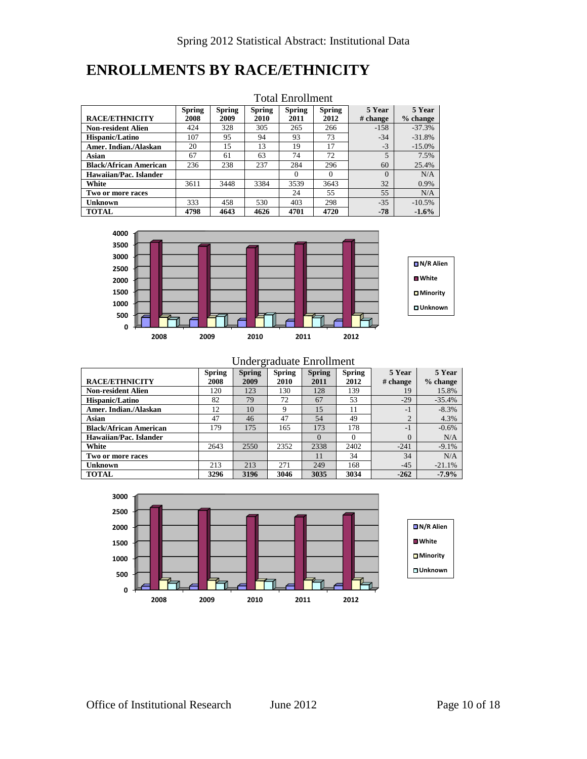#### **ENROLLMENTS BY RACE/ETHNICITY**

|                               |               |               |               | TOMAI LIIIOIIILUU |               |          |            |
|-------------------------------|---------------|---------------|---------------|-------------------|---------------|----------|------------|
|                               | <b>Spring</b> | <b>Spring</b> | <b>Spring</b> | <b>Spring</b>     | <b>Spring</b> | 5 Year   | 5 Year     |
| <b>RACE/ETHNICITY</b>         | 2008          | 2009          | 2010          | 2011              | 2012          | # change | $%$ change |
| <b>Non-resident Alien</b>     | 424           | 328           | 305           | 265               | 266           | $-158$   | $-37.3%$   |
| Hispanic/Latino               | 107           | 95            | 94            | 93                | 73            | $-34$    | $-31.8%$   |
| Amer. Indian./Alaskan         | 20            | 15            | 13            | 19                | 17            | $-3$     | $-15.0%$   |
| Asian                         | 67            | 61            | 63            | 74                | 72            | 5        | 7.5%       |
| <b>Black/African American</b> | 236           | 238           | 237           | 284               | 296           | 60       | 25.4%      |
| Hawaiian/Pac. Islander        |               |               |               | $\Omega$          | $\Omega$      | $\Omega$ | N/A        |
| White                         | 3611          | 3448          | 3384          | 3539              | 3643          | 32       | 0.9%       |
| Two or more races             |               |               |               | 24                | 55            | 55       | N/A        |
| <b>Unknown</b>                | 333           | 458           | 530           | 403               | 298           | $-35$    | $-10.5%$   |
| <b>TOTAL</b>                  | 4798          | 4643          | 4626          | 4701              | 4720          | $-78$    | $-1.6%$    |

#### Total Enrollment



Undergraduate Enrollment

**Spring**

**Spring**

**5 Year**

**5 Year**

**Spring**

|                               | $v_{\rm{p},m}$ | $v_{\rm{max}}$ | $v_{\rm{p},m}$ | $v_{\rm{max}}$ | $v_{\rm{p},m}$ | $\sim$ 1 val   | $\sim$ 1 val |
|-------------------------------|----------------|----------------|----------------|----------------|----------------|----------------|--------------|
| <b>RACE/ETHNICITY</b>         | 2008           | 2009           | 2010           | 2011           | 2012           | # change       | $%$ change   |
| <b>Non-resident Alien</b>     | 120            | 123            | 130            | 128            | 139            | 19             | 15.8%        |
| <b>Hispanic/Latino</b>        | 82             | 79             | 72             | 67             | 53             | $-29$          | $-35.4%$     |
| Amer. Indian./Alaskan         | 12             | 10             | 9              | 15             | 11             | $-1$           | $-8.3%$      |
| Asian                         | 47             | 46             | 47             | 54             | 49             | $\overline{2}$ | 4.3%         |
| <b>Black/African American</b> | 179            | 175            | 165            | 173            | 178            | $-1$           | $-0.6%$      |
| Hawaiian/Pac. Islander        |                |                |                | $\Omega$       |                | $\Omega$       | N/A          |
| White                         | 2643           | 2550           | 2352           | 2338           | 2402           | $-241$         | $-9.1\%$     |
| Two or more races             |                |                |                | 11             | 34             | 34             | N/A          |
| <b>Unknown</b>                | 213            | 213            | 271            | 249            | 168            | $-45$          | $-21.1%$     |
| <b>TOTAL</b>                  | 3296           | 3196           | 3046           | 3035           | 3034           | $-262$         | $-7.9%$      |

**Spring**

**Spring**

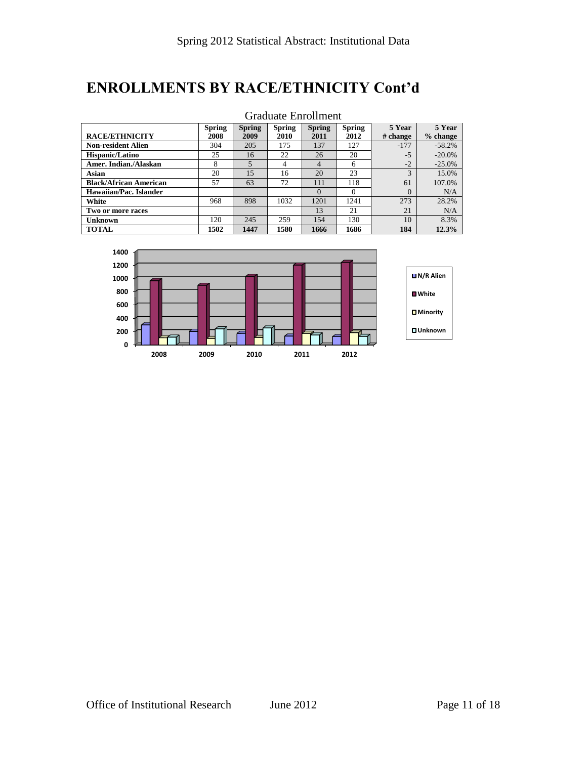### **ENROLLMENTS BY RACE/ETHNICITY Cont'd**

|                               |               |               |               | Graduate Enrollment |               |          |            |
|-------------------------------|---------------|---------------|---------------|---------------------|---------------|----------|------------|
|                               | <b>Spring</b> | <b>Spring</b> | <b>Spring</b> | <b>Spring</b>       | <b>Spring</b> | 5 Year   | 5 Year     |
| <b>RACE/ETHNICITY</b>         | 2008          | 2009          | 2010          | 2011                | 2012          | # change | $%$ change |
| <b>Non-resident Alien</b>     | 304           | 205           | 175           | 137                 | 127           | $-177$   | $-58.2%$   |
| <b>Hispanic/Latino</b>        | 25            | 16            | 22            | 26                  | 20            | $-5$     | $-20.0\%$  |
| Amer. Indian./Alaskan         | 8             | 5             | 4             | $\overline{4}$      | 6             | $-2$     | $-25.0\%$  |
| Asian                         | 20            | 15            | 16            | 20                  | 23            | 3        | 15.0%      |
| <b>Black/African American</b> | 57            | 63            | 72            | 111                 | 118           | 61       | 107.0%     |
| Hawaiian/Pac. Islander        |               |               |               | $\Omega$            | 0             | $\Omega$ | N/A        |
| White                         | 968           | 898           | 1032          | 1201                | 1241          | 273      | 28.2%      |
| Two or more races             |               |               |               | 13                  | 21            | 2.1      | N/A        |
| Unknown                       | 120           | 245           | 259           | 154                 | 130           | 10       | 8.3%       |
| <b>TOTAL</b>                  | 1502          | 1447          | 1580          | 1666                | 1686          | 184      | 12.3%      |

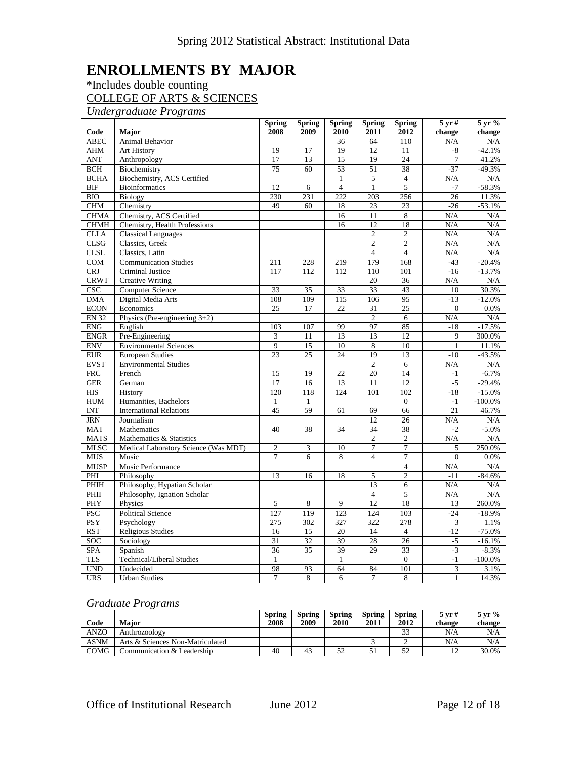### **ENROLLMENTS BY MAJOR**

#### \*Includes double counting COLLEGE OF ARTS & SCIENCES

*Undergraduate Programs*

|              |                                      | <b>Spring</b>   | <b>Spring</b>   | <b>Spring</b>   | <b>Spring</b>  | <b>Spring</b>   | $5 \,\mathrm{yr}$ # | $5 \,\mathrm{yr}$ % |
|--------------|--------------------------------------|-----------------|-----------------|-----------------|----------------|-----------------|---------------------|---------------------|
| Code         | Major                                | 2008            | 2009            | 2010            | 2011           | 2012            | change              | change              |
| <b>ABEC</b>  | <b>Animal Behavior</b>               |                 |                 | 36              | 64             | 110             | N/A                 | N/A                 |
| AHM          | Art History                          | 19              | 17              | 19              | 12             | 11              | -8                  | $-42.1%$            |
| <b>ANT</b>   | Anthropology                         | 17              | 13              | 15              | 19             | $\overline{24}$ | 7                   | 41.2%               |
| <b>BCH</b>   | Biochemistry                         | $\overline{75}$ | 60              | 53              | 51             | 38              | $-37$               | $-49.3%$            |
| <b>BCHA</b>  | Biochemistry, ACS Certified          |                 |                 | $\mathbf{1}$    | 5              | $\overline{4}$  | N/A                 | N/A                 |
| <b>BIF</b>   | <b>Bioinformatics</b>                | 12              | 6               | $\overline{4}$  | $\mathbf{1}$   | 5               | $-7$                | $-58.3%$            |
| <b>BIO</b>   | Biology                              | 230             | 231             | 222             | 203            | 256             | 26                  | 11.3%               |
| CHM          | Chemistry                            | 49              | 60              | 18              | 23             | $\overline{23}$ | $-26$               | $-53.1%$            |
| <b>CHMA</b>  | Chemistry, ACS Certified             |                 |                 | 16              | 11             | 8               | N/A                 | N/A                 |
| <b>CHMH</b>  | Chemistry, Health Professions        |                 |                 | 16              | 12             | 18              | N/A                 | $\rm N/A$           |
| <b>CLLA</b>  | <b>Classical Languages</b>           |                 |                 |                 | $\overline{c}$ | $\overline{c}$  | N/A                 | N/A                 |
| <b>CLSG</b>  | Classics, Greek                      |                 |                 |                 | $\overline{2}$ | $\overline{c}$  | N/A                 | N/A                 |
| <b>CLSL</b>  | Classics, Latin                      |                 |                 |                 | $\overline{4}$ | $\overline{4}$  | N/A                 | N/A                 |
| COM          | <b>Communication Studies</b>         | 211             | 228             | 219             | 179            | 168             | $-43$               | $-20.4%$            |
| <b>CRJ</b>   | Criminal Justice                     | 117             | 112             | 112             | 110            | 101             | $-16$               | $-13.7%$            |
| <b>CRWT</b>  | <b>Creative Writing</b>              |                 |                 |                 | 20             | 36              | N/A                 | N/A                 |
| CSC          | <b>Computer Science</b>              | 33              | 35              | 33              | 33             | 43              | 10                  | 30.3%               |
| <b>DMA</b>   | Digital Media Arts                   | 108             | 109             | 115             | 106            | 95              | $-13$               | $-12.0%$            |
| <b>ECON</b>  | Economics                            | 25              | 17              | 22              | 31             | 25              | $\Omega$            | 0.0%                |
| <b>EN 32</b> | Physics (Pre-engineering 3+2)        |                 |                 |                 | $\overline{2}$ | 6               | N/A                 | N/A                 |
| ENG          | English                              | 103             | 107             | 99              | 97             | 85              | $-18$               | $-17.5%$            |
| <b>ENGR</b>  | Pre-Engineering                      | 3               | 11              | 13              | 13             | 12              | 9                   | 300.0%              |
| <b>ENV</b>   | <b>Environmental Sciences</b>        | $\overline{9}$  | $\overline{15}$ | $\overline{10}$ | 8              | 10              | $\mathbf{1}$        | 11.1%               |
| <b>EUR</b>   | <b>European Studies</b>              | $\overline{23}$ | $\overline{25}$ | 24              | 19             | 13              | $-10$               | $-43.5%$            |
| <b>EVST</b>  | <b>Environmental Studies</b>         |                 |                 |                 | $\overline{2}$ | 6               | N/A                 | N/A                 |
| <b>FRC</b>   | French                               | 15              | 19              | 22              | 20             | 14              | $-1$                | $-6.7%$             |
| <b>GER</b>   | German                               | 17              | 16              | 13              | 11             | 12              | $-5$                | $-29.4%$            |
| <b>HIS</b>   | History                              | 120             | 118             | 124             | 101            | 102             | $-18$               | $-15.0%$            |
| <b>HUM</b>   | Humanities, Bachelors                | $\mathbf{1}$    | $\mathbf{1}$    |                 |                | $\overline{0}$  | $-1$                | $-100.0\%$          |
| <b>INT</b>   | <b>International Relations</b>       | 45              | 59              | 61              | 69             | 66              | 21                  | 46.7%               |
| <b>JRN</b>   | Journalism                           |                 |                 |                 | 12             | 26              | N/A                 | N/A                 |
| <b>MAT</b>   | Mathematics                          | 40              | 38              | 34              | 34             | 38              | $-2$                | $-5.0\%$            |
| <b>MATS</b>  | Mathematics & Statistics             |                 |                 |                 | $\overline{2}$ | $\overline{2}$  | N/A                 | N/A                 |
| <b>MLSC</b>  | Medical Laboratory Science (Was MDT) | $\overline{c}$  | 3               | 10              | 7              | $\tau$          | 5                   | 250.0%              |
| <b>MUS</b>   | Music                                | $\overline{7}$  | 6               | 8               | $\overline{4}$ | 7               | $\Omega$            | 0.0%                |
| <b>MUSP</b>  | Music Performance                    |                 |                 |                 |                | $\overline{4}$  | N/A                 | N/A                 |
| PHI          | Philosophy                           | 13              | 16              | 18              | 5              | $\overline{2}$  | $-11$               | $-84.6%$            |
| PHIH         | Philosophy, Hypatian Scholar         |                 |                 |                 | 13             | 6               | N/A                 | N/A                 |
| PHII         | Philosophy, Ignation Scholar         |                 |                 |                 | $\overline{4}$ | 5               | N/A                 | N/A                 |
| PHY          | Physics                              | 5               | 8               | 9               | 12             | 18              | 13                  | 260.0%              |
| <b>PSC</b>   | <b>Political Science</b>             | 127             | 119             | 123             | 124            | 103             | $-24$               | $-18.9%$            |
| <b>PSY</b>   | Psychology                           | 275             | 302             | 327             | 322            | 278             | $\mathfrak{Z}$      | 1.1%                |
| <b>RST</b>   | <b>Religious Studies</b>             | 16              | 15              | 20              | 14             | $\overline{4}$  | $-12$               | $-75.0%$            |
| <b>SOC</b>   | Sociology                            | 31              | 32              | 39              | 28             | 26              | $-5$                | $-16.1%$            |
| <b>SPA</b>   | Spanish                              | $\overline{36}$ | $\overline{35}$ | 39              | 29             | 33              | $-3$                | $-8.3%$             |
| <b>TLS</b>   | <b>Technical/Liberal Studies</b>     | 1               |                 | 1               |                | $\overline{0}$  | $-1$                | $-100.0\%$          |
| <b>UND</b>   | Undecided                            | 98              | 93              | 64              | 84             | 101             | 3                   | 3.1%                |
| <b>URS</b>   | <b>Urban Studies</b>                 | $\overline{7}$  | 8               | 6               | 7              | 8               | $\mathbf{1}$        | 14.3%               |

#### *Graduate Programs*

|             |                                  | Spring | Spring | <b>Spring</b> | <b>Spring</b> | <b>Spring</b> | $5 \,\mathrm{vr} \,\mathrm{\#}$ | $5 \,\mathrm{vr}$ % |
|-------------|----------------------------------|--------|--------|---------------|---------------|---------------|---------------------------------|---------------------|
| Code        | Maior                            | 2008   | 2009   | 2010          | 2011          | 2012          | change                          | change              |
| ANZO        | Anthrozoology                    |        |        |               |               | ت ب           | N/A                             | N/A                 |
| <b>ASNM</b> | Arts & Sciences Non-Matriculated |        |        |               |               |               | N/A                             | N/A                 |
| <b>COMG</b> | Communication & Leadership       | 40     | 43     | 52            |               |               | 1 <sub>2</sub><br>∸             | 30.0%               |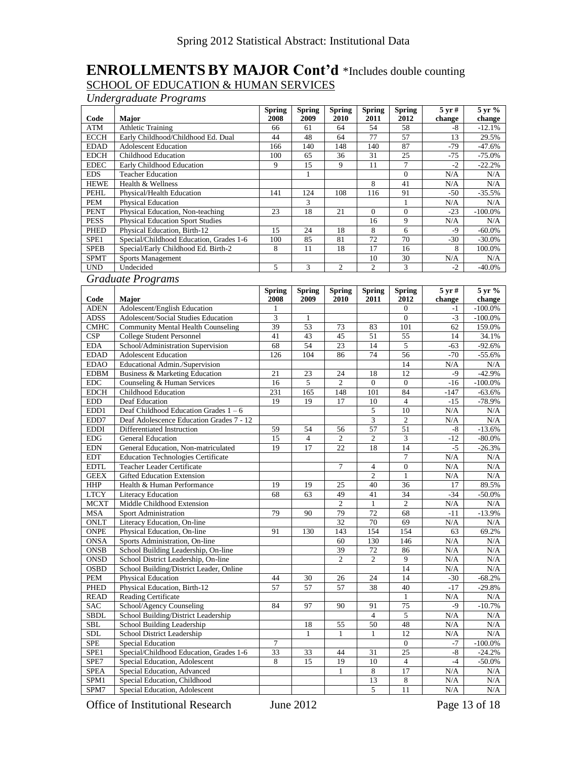#### **ENROLLMENTSBY MAJOR Cont'd** \*Includes double counting SCHOOL OF EDUCATION & HUMAN SERVICES

*Undergraduate Programs*

| Code                       | <b>Major</b>                                                  | <b>Spring</b><br>2008 | <b>Spring</b><br>2009 | Spring<br>2010 | <b>Spring</b>               | <b>Spring</b><br>2012 | $5 \,\mathrm{yr}$ # | 5 yr %<br>change |
|----------------------------|---------------------------------------------------------------|-----------------------|-----------------------|----------------|-----------------------------|-----------------------|---------------------|------------------|
| <b>ATM</b>                 | <b>Athletic Training</b>                                      | 66                    | 61                    | 64             | 2011<br>54                  | 58                    | change<br>-8        | $-12.1%$         |
| <b>ECCH</b>                | Early Childhood/Childhood Ed. Dual                            | 44                    | 48                    | 64             | 77                          | 57                    | 13                  | 29.5%            |
| <b>EDAD</b>                | <b>Adolescent Education</b>                                   | 166                   | 140                   | 148            | 140                         | 87                    | $-79$               | $-47.6%$         |
| <b>EDCH</b>                | Childhood Education                                           | 100                   | 65                    | 36             | 31                          | 25                    | $-75$               | $-75.0%$         |
| <b>EDEC</b>                | Early Childhood Education                                     | 9                     | 15                    | 9              | 11                          | $\overline{7}$        | $-2$                | $-22.2%$         |
| <b>EDS</b>                 | <b>Teacher Education</b>                                      |                       | $\mathbf{1}$          |                |                             | $\mathbf{0}$          | N/A                 | N/A              |
| <b>HEWE</b>                | Health & Wellness                                             |                       |                       |                | 8                           | 41                    | N/A                 | N/A              |
| <b>PEHL</b>                | Physical/Health Education                                     | 141                   | 124                   | 108            | 116                         | 91                    | $-50$               | $-35.5%$         |
| <b>PEM</b>                 | <b>Physical Education</b>                                     |                       | 3                     |                |                             | 1                     | N/A                 | N/A              |
| <b>PENT</b>                | Physical Education, Non-teaching                              | 23                    | 18                    | 21             | $\mathbf{0}$                | $\overline{0}$        | $-23$               | $-100.0\%$       |
| <b>PESS</b>                | <b>Physical Education Sport Studies</b>                       |                       |                       |                | 16                          | 9                     | N/A                 | N/A              |
| PHED                       | Physical Education, Birth-12                                  | 15                    | 24                    | 18             | $\,8\,$                     | 6                     | -9                  | $-60.0\%$        |
| SPE1                       | Special/Childhood Education, Grades 1-6                       | 100                   | 85                    | 81             | $\overline{72}$             | 70                    | $-30$               | $-30.0%$         |
| <b>SPEB</b>                | Special/Early Childhood Ed. Birth-2                           | 8                     | 11                    | 18             | 17                          | 16                    | 8                   | 100.0%           |
| <b>SPMT</b>                | Sports Management                                             |                       |                       |                | 10                          | 30                    | N/A                 | N/A              |
| <b>UND</b>                 | Undecided                                                     | 5                     | 3                     | $\overline{c}$ | $\overline{c}$              | 3                     | $-2$                | $-40.0\%$        |
|                            | <b>Graduate Programs</b>                                      |                       |                       |                |                             |                       |                     |                  |
|                            |                                                               | <b>Spring</b>         | <b>Spring</b>         | Spring         | <b>Spring</b>               | <b>Spring</b>         | $5 \,\mathrm{yr}$ # | 5 yr %           |
| Code                       | Major                                                         | 2008                  | 2009                  | 2010           | 2011                        | 2012                  | change              | change           |
| <b>ADEN</b>                | Adolescent/English Education                                  |                       |                       |                |                             | $\theta$              | $-1$                | $-100.0\%$       |
| <b>ADSS</b>                | Adolescent/Social Studies Education                           | 3                     | 1                     |                |                             | $\mathbf{0}$          | $-3$                | $-100.0\%$       |
| <b>CMHC</b>                | <b>Community Mental Health Counseling</b>                     | 39                    | 53                    | 73             | 83                          | 101                   | 62                  | 159.0%           |
| <b>CSP</b>                 | <b>College Student Personnel</b>                              | 41                    | 43                    | 45             | 51                          | 55                    | 14                  | 34.1%            |
| <b>EDA</b>                 | School/Administration Supervision                             | 68                    | 54                    | 23             | 14                          | 5                     | $-63$               | $-92.6%$         |
| <b>EDAD</b>                | <b>Adolescent Education</b>                                   | 126                   | 104                   | 86             | 74                          | 56                    | $-70$               | $-55.6%$         |
| <b>EDAO</b>                | Educational Admin./Supervision                                |                       |                       |                |                             | 14                    | N/A                 | N/A              |
| <b>EDBM</b>                | Business & Marketing Education                                | 21                    | 23                    | 24             | 18                          | 12                    | -9                  | $-42.9%$         |
| <b>EDC</b>                 | Counseling & Human Services                                   | 16                    | 5                     | $\overline{c}$ | $\mathbf{0}$                | $\mathbf{0}$          | $-16$               | $-100.0%$        |
| <b>EDCH</b>                | <b>Childhood Education</b>                                    | 231                   | 165                   | 148            | 101                         | 84                    | $-147$              | $-63.6%$         |
| <b>EDD</b>                 | Deaf Education                                                | 19                    | 19                    | 17             | 10                          | $\overline{4}$        | $-15$               | $-78.9%$         |
| EDD1                       | Deaf Childhood Education Grades $1 - 6$                       |                       |                       |                | 5                           | 10                    | N/A                 | N/A              |
| EDD7                       | Deaf Adolescence Education Grades 7 - 12                      |                       |                       |                | $\ensuremath{\mathfrak{Z}}$ | $\mathfrak{2}$        | N/A                 | N/A              |
| <b>EDDI</b>                | Differentiated Instruction                                    | 59                    | 54                    | 56             | $\overline{57}$             | 51                    | -8                  | $-13.6%$         |
| ${\rm EDG}$                | <b>General Education</b>                                      | 15                    | $\overline{4}$        | 2              | $\mathfrak{2}$              | 3                     | $-12$               | $-80.0%$         |
| <b>EDN</b>                 | General Education, Non-matriculated                           | 19                    | 17                    | 22             | 18                          | 14                    | $-5$                | $-26.3%$         |
| <b>EDT</b>                 | <b>Education Technologies Certificate</b>                     |                       |                       |                |                             | $\overline{7}$        | N/A                 | N/A              |
| <b>EDTL</b>                | Teacher Leader Certificate                                    |                       |                       | 7              | 4                           | $\mathbf{0}$          | N/A                 | N/A              |
| <b>GEEX</b>                | <b>Gifted Education Extension</b>                             |                       |                       |                | $\overline{2}$              | 1                     | N/A                 | N/A              |
| <b>HHP</b>                 | Health & Human Performance                                    | 19                    | 19                    | 25             | 40                          | 36                    | 17                  | 89.5%            |
| <b>LTCY</b>                | Literacy Education                                            | 68                    | 63                    | 49             | 41                          | 34                    | $-34$               | $-50.0%$         |
| <b>MCXT</b>                | Middle Childhood Extension                                    |                       |                       | $\overline{2}$ | $\mathbf{1}$                | $\overline{2}$        | N/A                 | N/A              |
| <b>MSA</b>                 | Sport Administration                                          | 79                    | 90                    | 79             | 72                          | 68                    | $-11$               | $-13.9%$         |
| <b>ONLT</b><br><b>ONPE</b> | Literacy Education, On-line                                   | 91                    | 130                   | 32             | 70<br>154                   | 69<br>154             | N/A<br>63           | N/A<br>69.2%     |
| <b>ONSA</b>                | Physical Education, On-line<br>Sports Administration, On-line |                       |                       | 143<br>60      | 130                         | 146                   | N/A                 | N/A              |
| <b>ONSB</b>                | School Building Leadership, On-line                           |                       |                       | 39             | 72                          | 86                    | N/A                 | N/A              |
| ONSD                       | School District Leadership, On-line                           |                       |                       | 2              | 2                           | 9                     | N/A                 | N/A              |
| <b>OSBD</b>                | School Building/District Leader, Online                       |                       |                       |                |                             | 14                    | N/A                 | N/A              |
| PEM                        | Physical Education                                            | 44                    | 30                    | 26             | 24                          | 14                    | $-30$               | $-68.2%$         |
| <b>PHED</b>                | Physical Education, Birth-12                                  | 57                    | 57                    | 57             | 38                          | 40                    | $-17$               | $-29.8%$         |
| <b>READ</b>                | <b>Reading Certificate</b>                                    |                       |                       |                |                             | 1                     | N/A                 | N/A              |
| <b>SAC</b>                 | School/Agency Counseling                                      | 84                    | 97                    | 90             | 91                          | 75                    | -9                  | $-10.7%$         |
| SBDL                       | School Building/District Leadership                           |                       |                       |                | $\overline{4}$              | 5                     | N/A                 | N/A              |
| SBL                        | School Building Leadership                                    |                       | 18                    | 55             | 50                          | 48                    | N/A                 | N/A              |
| <b>SDL</b>                 | School District Leadership                                    |                       | 1                     | 1              | 1                           | 12                    | N/A                 | N/A              |
| <b>SPE</b>                 | Special Education                                             | 7                     |                       |                |                             | $\overline{0}$        | $-7$                | $-100.0\%$       |
| SPE1                       | Special/Childhood Education, Grades 1-6                       | 33                    | 33                    | 44             | 31                          | 25                    | -8                  | $-24.2%$         |
| SPE7                       | Special Education, Adolescent                                 | 8                     | 15                    | 19             | 10                          | 4                     | $-4$                | -50.0%           |
| <b>SPEA</b>                | Special Education, Advanced                                   |                       |                       | 1              | 8                           | 17                    | N/A                 | N/A              |
| SPM1                       | Special Education, Childhood                                  |                       |                       |                | 13                          | 8                     | N/A                 | N/A              |
| SPM7                       | Special Education, Adolescent                                 |                       |                       |                | 5                           | 11                    | N/A                 | N/A              |

Office of Institutional Research June 2012 Page 13 of 18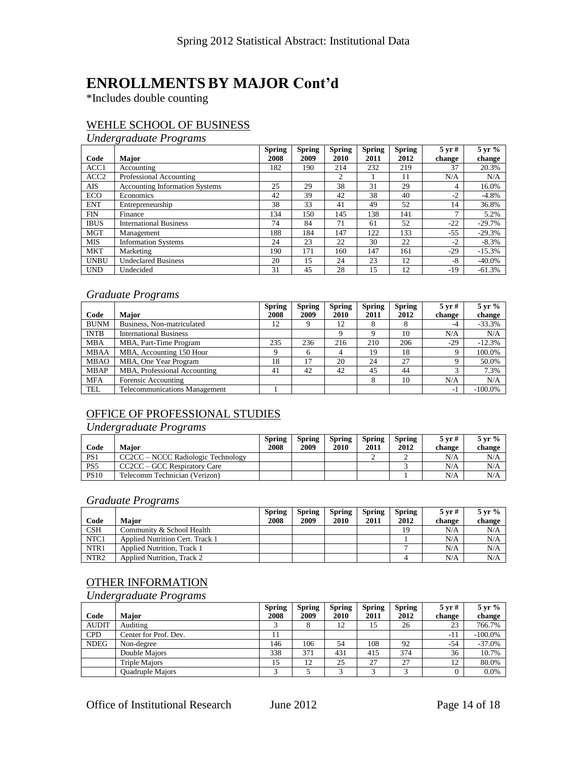#### **ENROLLMENTSBY MAJOR Cont'd**

\*Includes double counting

#### WEHLE SCHOOL OF BUSINESS

*Undergraduate Programs*

|                  |                                | <b>Spring</b> | <b>Spring</b> | <b>Spring</b> | <b>Spring</b> | <b>Spring</b> | $5 \,\mathrm{yr}$ # | 5 yr %   |
|------------------|--------------------------------|---------------|---------------|---------------|---------------|---------------|---------------------|----------|
| Code             | <b>Major</b>                   | 2008          | 2009          | 2010          | 2011          | 2012          | change              | change   |
| ACC1             | Accounting                     | 182           | 190           | 214           | 232           | 219           | 37                  | 20.3%    |
| ACC <sub>2</sub> | Professional Accounting        |               |               | 2             |               | 11            | N/A                 | N/A      |
| AIS              | Accounting Information Systems | 25            | 29            | 38            | 31            | 29            | 4                   | 16.0%    |
| <b>ECO</b>       | Economics                      | 42            | 39            | 42            | 38            | 40            | $-2$                | $-4.8%$  |
| <b>ENT</b>       | Entrepreneurship               | 38            | 33            | 41            | 49            | 52            | 14                  | 36.8%    |
| <b>FIN</b>       | Finance                        | 134           | 150           | 145           | 138           | 141           | 7                   | 5.2%     |
| <b>IBUS</b>      | <b>International Business</b>  | 74            | 84            | 71            | 61            | 52            | $-22$               | $-29.7%$ |
| <b>MGT</b>       | Management                     | 188           | 184           | 147           | 122           | 133           | -55                 | $-29.3%$ |
| <b>MIS</b>       | <b>Information Systems</b>     | 24            | 23            | 22            | 30            | 22            | $-2$                | $-8.3%$  |
| <b>MKT</b>       | Marketing                      | 190           | 171           | 160           | 147           | 161           | $-29$               | $-15.3%$ |
| <b>UNBU</b>      | <b>Undeclared Business</b>     | 20            | 15            | 24            | 23            | 12            | $-8$                | $-40.0%$ |
| <b>UND</b>       | Undecided                      | 31            | 45            | 28            | 15            | 12            | -19                 | $-61.3%$ |

#### *Graduate Programs*

|             |                                      | <b>Spring</b> | <b>Spring</b> | <b>Spring</b> | <b>Spring</b> | <b>Spring</b> | $5 \,\mathrm{vr} \,\mathrm{\#}$ | $5 \,\mathrm{yr}$ % |
|-------------|--------------------------------------|---------------|---------------|---------------|---------------|---------------|---------------------------------|---------------------|
| Code        | <b>Major</b>                         | 2008          | 2009          | 2010          | 2011          | 2012          | change                          | change              |
| <b>BUNM</b> | Business, Non-matriculated           | 12            | Q             | 12            | δ             |               | $-4$                            | $-33.3%$            |
| <b>INTB</b> | <b>International Business</b>        |               |               | 9             | Q             | 10            | N/A                             | N/A                 |
| <b>MBA</b>  | MBA, Part-Time Program               | 235           | 236           | 216           | 210           | 206           | $-29$                           | $-12.3%$            |
| <b>MBAA</b> | MBA, Accounting 150 Hour             |               | 6             | 4             | 19            | 18            | 9                               | 100.0%              |
| <b>MBAO</b> | MBA, One Year Program                | 18            | 17            | 20            | 24            | 27            | Q                               | 50.0%               |
| <b>MBAP</b> | MBA, Professional Accounting         | 41            | 42            | 42            | 45            | 44            | 3                               | 7.3%                |
| <b>MFA</b>  | Forensic Accounting                  |               |               |               | 8             | 10            | N/A                             | N/A                 |
| <b>TEL</b>  | <b>Telecommunications Management</b> |               |               |               |               |               | $-1$                            | $-100.0%$           |

#### OFFICE OF PROFESSIONAL STUDIES

#### *Undergraduate Programs*

| Code            | Maior                              | Spring<br>2008 | Spring<br>2009 | <b>Spring</b><br>2010 | <b>Spring</b><br>2011 | Spring<br>2012 | $5 \,\mathrm{vr} \,\mathrm{\#}$<br>change | $5 \,\mathrm{yr}$ %<br>change |
|-----------------|------------------------------------|----------------|----------------|-----------------------|-----------------------|----------------|-------------------------------------------|-------------------------------|
| PS <sub>1</sub> | CC2CC – NCCC Radiologic Technology |                |                |                       |                       |                | N/A                                       | N/A                           |
| PS <sub>5</sub> | CC2CC – GCC Respiratory Care       |                |                |                       |                       |                | N/A                                       | N/A                           |
| <b>PS10</b>     | Telecomm Technician (Verizon)      |                |                |                       |                       |                | N/A                                       | N/A                           |

#### *Graduate Programs*

|                  |                                        | <b>Spring</b> | <b>Spring</b> | <b>Spring</b> | <b>Spring</b> | <b>Spring</b> | $5 \,\mathrm{vr} \,\mathrm{\#}$ | $5 \,\mathrm{yr}$ % |
|------------------|----------------------------------------|---------------|---------------|---------------|---------------|---------------|---------------------------------|---------------------|
| Code             | <b>Maior</b>                           | 2008          | 2009          | 2010          | 2011          | 2012          | change                          | change              |
| <b>CSH</b>       | Community & School Health              |               |               |               |               | 19            | N/A                             | N/A                 |
| NTC1             | <b>Applied Nutrition Cert. Track 1</b> |               |               |               |               |               | N/A                             | N/A                 |
| NTR <sub>1</sub> | <b>Applied Nutrition, Track 1</b>      |               |               |               |               |               | N/A                             | N/A                 |
| NTR <sub>2</sub> | <b>Applied Nutrition. Track 2</b>      |               |               |               |               |               | N/A                             | N/A                 |

#### OTHER INFORMATION

*Undergraduate Programs*

|              |                         | <b>Spring</b> | <b>Spring</b> | <b>Spring</b> | <b>Spring</b> | <b>Spring</b> | $5 \,\mathrm{vr} \,\mathrm{\#}$ | $5 \,\mathrm{yr}$ % |
|--------------|-------------------------|---------------|---------------|---------------|---------------|---------------|---------------------------------|---------------------|
| Code         | <b>Maior</b>            | 2008          | 2009          | 2010          | 2011          | 2012          | change                          | change              |
| <b>AUDIT</b> | Auditing                |               |               | 12            | 15            | 26            | 23                              | 766.7%              |
| <b>CPD</b>   | Center for Prof. Dev.   | 11            |               |               |               |               | -11                             | $-100.0\%$          |
| <b>NDEG</b>  | Non-degree              | 146           | 106           | 54            | 108           | 92            | -54                             | $-37.0%$            |
|              | Double Maiors           | 338           | 371           | 431           | 415           | 374           | 36                              | 10.7%               |
|              | Triple Majors           | 15            | 12            | 25            | 27            | 27            | 12                              | 80.0%               |
|              | <b>Ouadruple Majors</b> |               |               |               |               |               | 0                               | 0.0%                |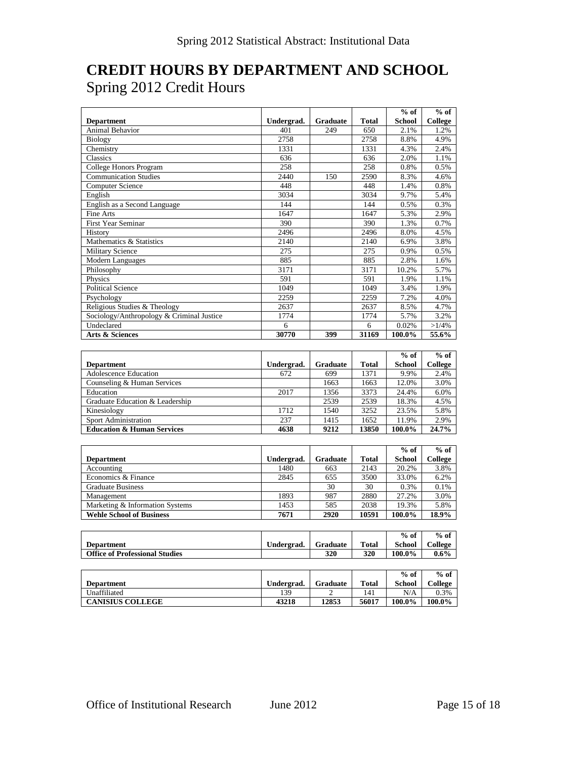#### **CREDIT HOURS BY DEPARTMENT AND SCHOOL** Spring 2012 Credit Hours

|                                           |            |                 |              | $%$ of        | $%$ of   |
|-------------------------------------------|------------|-----------------|--------------|---------------|----------|
| <b>Department</b>                         | Undergrad. | <b>Graduate</b> | <b>Total</b> | <b>School</b> | College  |
| Animal Behavior                           | 401        | 249             | 650          | 2.1%          | 1.2%     |
| Biology                                   | 2758       |                 | 2758         | 8.8%          | 4.9%     |
| Chemistry                                 | 1331       |                 | 1331         | 4.3%          | 2.4%     |
| Classics                                  | 636        |                 | 636          | 2.0%          | 1.1%     |
| College Honors Program                    | 258        |                 | 258          | 0.8%          | 0.5%     |
| <b>Communication Studies</b>              | 2440       | 150             | 2590         | 8.3%          | 4.6%     |
| <b>Computer Science</b>                   | 448        |                 | 448          | 1.4%          | 0.8%     |
| English                                   | 3034       |                 | 3034         | 9.7%          | 5.4%     |
| English as a Second Language              | 144        |                 | 144          | 0.5%          | 0.3%     |
| Fine Arts                                 | 1647       |                 | 1647         | 5.3%          | 2.9%     |
| <b>First Year Seminar</b>                 | 390        |                 | 390          | 1.3%          | 0.7%     |
| History                                   | 2496       |                 | 2496         | 8.0%          | 4.5%     |
| Mathematics & Statistics                  | 2140       |                 | 2140         | 6.9%          | 3.8%     |
| <b>Military Science</b>                   | 275        |                 | 275          | 0.9%          | 0.5%     |
| Modern Languages                          | 885        |                 | 885          | 2.8%          | 1.6%     |
| Philosophy                                | 3171       |                 | 3171         | 10.2%         | 5.7%     |
| Physics                                   | 591        |                 | 591          | 1.9%          | 1.1%     |
| <b>Political Science</b>                  | 1049       |                 | 1049         | 3.4%          | 1.9%     |
| Psychology                                | 2259       |                 | 2259         | 7.2%          | 4.0%     |
| Religious Studies & Theology              | 2637       |                 | 2637         | 8.5%          | 4.7%     |
| Sociology/Anthropology & Criminal Justice | 1774       |                 | 1774         | 5.7%          | 3.2%     |
| Undeclared                                | 6          |                 | 6            | 0.02%         | $>1/4\%$ |
| Arts & Sciences                           | 30770      | 399             | 31169        | 100.0%        | 55.6%    |

|                                       |            |                 |              | $%$ of        | $%$ of         |
|---------------------------------------|------------|-----------------|--------------|---------------|----------------|
| <b>Department</b>                     | Undergrad. | <b>Graduate</b> | <b>Total</b> | <b>School</b> | <b>College</b> |
| Adolescence Education                 | 672        | 699             | 1371         | 9.9%          | 2.4%           |
| Counseling & Human Services           |            | 1663            | 1663         | 12.0%         | 3.0%           |
| Education                             | 2017       | 1356            | 3373         | 24.4%         | 6.0%           |
| Graduate Education & Leadership       |            | 2539            | 2539         | 18.3%         | 4.5%           |
| Kinesiology                           | 1712       | 1540            | 3252         | 23.5%         | 5.8%           |
| Sport Administration                  | 237        | 1415            | 1652         | 11.9%         | 2.9%           |
| <b>Education &amp; Human Services</b> | 4638       | 9212            | 13850        | 100.0%        | 24.7%          |

|                                 |            |                 |              | $%$ of        | $%$ of  |
|---------------------------------|------------|-----------------|--------------|---------------|---------|
| <b>Department</b>               | Undergrad. | <b>Graduate</b> | <b>Total</b> | <b>School</b> | College |
| Accounting                      | 1480       | 663             | 2143         | 20.2%         | 3.8%    |
| Economics & Finance             | 2845       | 655             | 3500         | 33.0%         | 6.2%    |
| <b>Graduate Business</b>        |            | 30              | 30           | 0.3%          | 0.1%    |
| Management                      | 1893       | 987             | 2880         | 27.2%         | 3.0%    |
| Marketing & Information Systems | 1453       | 585             | 2038         | 19.3%         | 5.8%    |
| <b>Wehle School of Business</b> | 7671       | 2920            | 10591        | 100.0%        | 18.9%   |

|                                       |            |          |              | $%$ of        | $%$ of  |
|---------------------------------------|------------|----------|--------------|---------------|---------|
| <b>Department</b>                     | Undergrad. | Graduate | <b>Total</b> | <b>School</b> | College |
| <b>Office of Professional Studies</b> |            | 320      | 320          | 100.0%        | $0.6\%$ |

|                         |            |          |       | $%$ of        | $%$ of  |
|-------------------------|------------|----------|-------|---------------|---------|
| <b>Department</b>       | Undergrad. | Graduate | Total | <b>School</b> | College |
| Unaffiliated            | 139        | ∸        | 141   | N/A           | 0.3%    |
| <b>CANISIUS COLLEGE</b> | 43218      | 12853    | 56017 | 100.0%        | 100.0%  |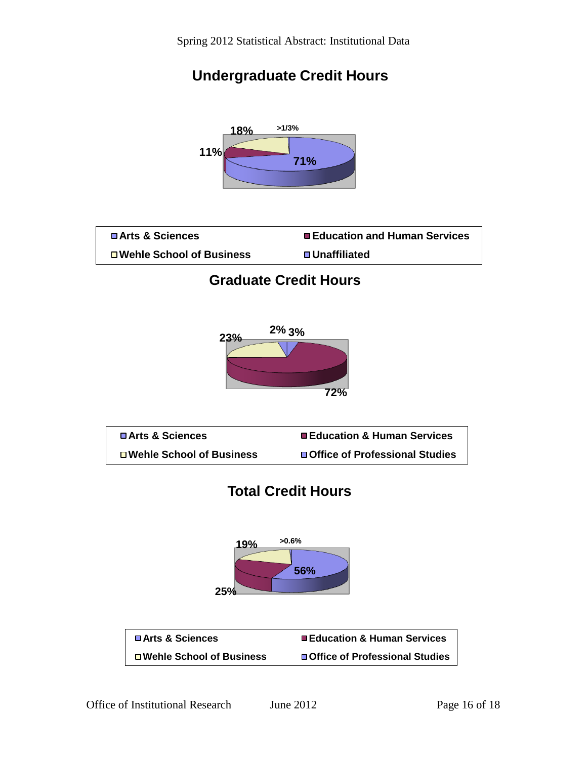### **Undergraduate Credit Hours**



| <b>□ Arts &amp; Sciences</b> | ■ Education and Human Services |
|------------------------------|--------------------------------|
| □ Wehle School of Business   | <b>□ Unaffiliated</b>          |
|                              |                                |

#### **Graduate Credit Hours**





### **Total Credit Hours**



| <b>□ Arts &amp; Sciences</b> | <b>Education &amp; Human Services</b> |
|------------------------------|---------------------------------------|
| □ Wehle School of Business   | □ Office of Professional Studies      |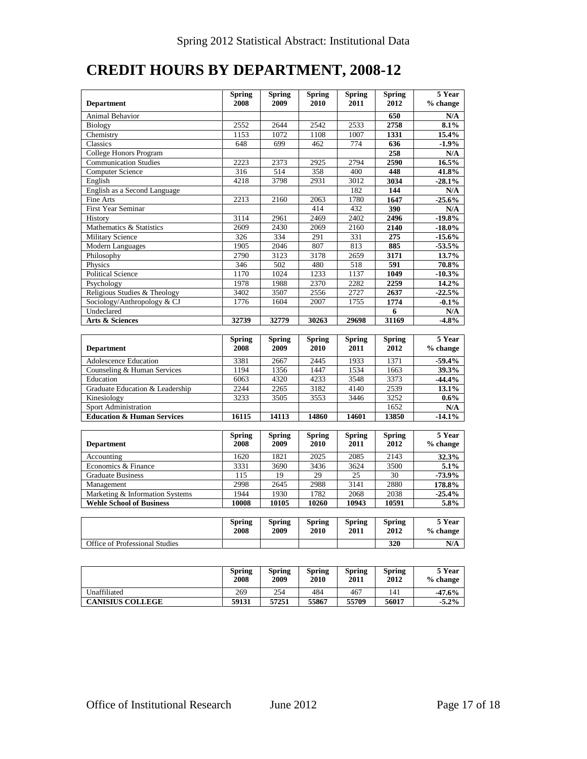### **CREDIT HOURS BY DEPARTMENT, 2008-12**

| <b>Department</b>                     | <b>Spring</b><br>2008 | <b>Spring</b><br>2009 | <b>Spring</b><br>2010 | <b>Spring</b><br>2011 | <b>Spring</b><br>2012 | 5 Year<br>% change |
|---------------------------------------|-----------------------|-----------------------|-----------------------|-----------------------|-----------------------|--------------------|
| Animal Behavior                       |                       |                       |                       |                       | 650                   | N/A                |
| Biology                               | 2552                  | 2644                  | 2542                  | 2533                  | 2758                  | 8.1%               |
| Chemistry                             | 1153                  | 1072                  | 1108                  | 1007                  | 1331                  | 15.4%              |
| Classics                              | 648                   | 699                   | 462                   | 774                   | 636                   | $-1.9%$            |
| College Honors Program                |                       |                       |                       |                       | 258                   | N/A                |
| <b>Communication Studies</b>          | 2223                  | 2373                  | 2925                  | 2794                  | 2590                  | $16.5\%$           |
| <b>Computer Science</b>               | 316                   | 514                   | 358                   | 400                   | 448                   | 41.8%              |
| English                               | 4218                  | 3798                  | 2931                  | 3012                  | 3034                  | $-28.1%$           |
| English as a Second Language          |                       |                       |                       | 182                   | 144                   | N/A                |
| <b>Fine Arts</b>                      | 2213                  | 2160                  | 2063                  | 1780                  | 1647                  | $-25.6%$           |
| <b>First Year Seminar</b>             |                       |                       | 414                   | 432                   | 390                   | N/A                |
| History                               | 3114                  | 2961                  | 2469                  | 2402                  | 2496                  | $-19.8%$           |
| Mathematics & Statistics              | 2609                  | 2430                  | 2069                  | 2160                  | 2140                  | $-18.0\%$          |
| <b>Military Science</b>               | 326                   | 334                   | 291                   | 331                   | 275                   | $-15.6%$           |
| <b>Modern Languages</b>               | 1905                  | 2046                  | 807                   | 813                   | 885                   | $-53.5%$           |
| Philosophy                            | 2790                  | 3123                  | 3178                  | 2659                  | 3171                  | 13.7%              |
| Physics                               | 346                   | 502                   | 480                   | 518                   | 591                   | 70.8%              |
| <b>Political Science</b>              | 1170                  | 1024                  | 1233                  | 1137                  | 1049                  | $-10.3%$           |
| Psychology                            | 1978                  | 1988                  | 2370                  | 2282                  | 2259                  | 14.2%              |
| Religious Studies & Theology          | 3402                  | 3507                  | 2556                  | 2727                  | 2637                  | $-22.5%$           |
| Sociology/Anthropology & CJ           | 1776                  | 1604                  | 2007                  | 1755                  | 1774                  | $-0.1%$            |
| Undeclared                            |                       |                       |                       |                       | 6                     | N/A                |
| Arts & Sciences                       | 32739                 | 32779                 | 30263                 | 29698                 | 31169                 | $-4.8%$            |
|                                       |                       |                       |                       |                       |                       |                    |
|                                       | <b>Spring</b>         | <b>Spring</b>         | <b>Spring</b>         | <b>Spring</b>         | Spring                | 5 Year             |
| <b>Department</b>                     | 2008                  | 2009                  | 2010                  | 2011                  | 2012                  | % change           |
| <b>Adolescence Education</b>          | 3381                  | 2667                  | 2445                  | 1933                  | 1371                  | $-59.4%$           |
| Counseling & Human Services           | 1194                  | 1356                  | 1447                  | 1534                  | 1663                  | 39.3%              |
| Education                             | 6063                  | 4320                  | 4233                  | 3548                  | 3373                  | $-44.4%$           |
| Graduate Education & Leadership       | 2244                  | 2265                  | 3182                  | 4140                  | 2539                  | 13.1%              |
| Kinesiology                           | 3233                  | 3505                  | 3553                  | 3446                  | 3252                  | $0.6\%$            |
| Sport Administration                  |                       |                       |                       |                       | 1652                  | N/A                |
| <b>Education &amp; Human Services</b> | 16115                 | 14113                 | 14860                 | 14601                 | 13850                 | $-14.1%$           |
|                                       |                       |                       |                       |                       |                       |                    |
|                                       | <b>Spring</b>         | <b>Spring</b>         | <b>Spring</b>         | <b>Spring</b>         | Spring                | 5 Year             |
| <b>Department</b>                     | 2008                  | 2009                  | 2010                  | 2011                  | 2012                  | % change           |
| Accounting                            | 1620                  | 1821                  | 2025                  | 2085                  | 2143                  | 32.3%              |
| Economics & Finance                   | 3331                  | 3690                  | 3436                  | 3624                  | 3500                  | 5.1%               |
| <b>Graduate Business</b>              | 115                   | 19                    | 29                    | 25                    | 30                    | $-73.9%$           |
| Management                            | 2998                  | 2645                  | 2988                  | 3141                  | 2880                  | 178.8%             |
| Marketing & Information Systems       | 1944                  | 1930                  | 1782                  | 2068                  | 2038                  | $-25.4%$           |
| <b>Wehle School of Business</b>       |                       |                       |                       |                       |                       | 5.8%               |
|                                       | 10008                 | 10105                 | 10260                 | 10943                 | 10591                 |                    |
|                                       | <b>Spring</b>         | <b>Spring</b>         | <b>Spring</b>         | <b>Spring</b>         | <b>Spring</b>         | 5 Year             |
|                                       | 2008                  | 2009                  | 2010                  | 2011                  | 2012                  | % change           |
|                                       |                       |                       |                       |                       |                       |                    |
| Office of Professional Studies        |                       |                       |                       |                       | 320                   | N/A                |

|                         | <b>Spring</b><br>2008 | Spring<br>2009 | <b>Spring</b><br>2010 | <b>Spring</b><br><b>2011</b> | <b>Spring</b><br>2012 | 5 Year<br>$%$ change |
|-------------------------|-----------------------|----------------|-----------------------|------------------------------|-----------------------|----------------------|
| Unaffiliated            | 269                   | 254            | 484                   | 467                          | 141                   | $-47.6%$             |
| <b>CANISIUS COLLEGE</b> | 59131                 | 57251          | 55867                 | 55709                        | 56017                 | $-5.2\%$             |